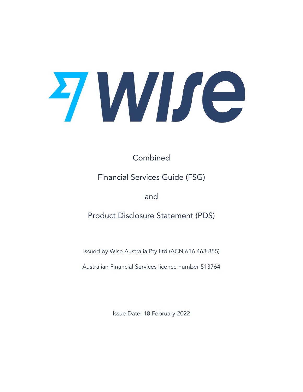

Combined

# Financial Services Guide (FSG)

and

Product Disclosure Statement (PDS)

Issued by Wise Australia Pty Ltd (ACN 616 463 855)

Australian Financial Services licence number 513764

Issue Date: 18 February 2022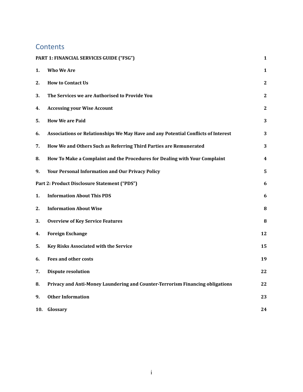# **Contents**

|     | PART 1: FINANCIAL SERVICES GUIDE ("FSG")                                          | 1            |
|-----|-----------------------------------------------------------------------------------|--------------|
| 1.  | <b>Who We Are</b>                                                                 | 1            |
| 2.  | <b>How to Contact Us</b>                                                          | $\mathbf{2}$ |
| 3.  | The Services we are Authorised to Provide You                                     | 2            |
| 4.  | <b>Accessing your Wise Account</b>                                                | 2            |
| 5.  | <b>How We are Paid</b>                                                            | 3            |
| 6.  | Associations or Relationships We May Have and any Potential Conflicts of Interest | 3            |
| 7.  | How We and Others Such as Referring Third Parties are Remunerated                 | 3            |
| 8.  | How To Make a Complaint and the Procedures for Dealing with Your Complaint        | 4            |
| 9.  | <b>Your Personal Information and Our Privacy Policy</b>                           | 5            |
|     | Part 2: Product Disclosure Statement ("PDS")                                      | 6            |
| 1.  | <b>Information About This PDS</b>                                                 | 6            |
| 2.  | <b>Information About Wise</b>                                                     | 8            |
| 3.  | <b>Overview of Key Service Features</b>                                           | 8            |
| 4.  | <b>Foreign Exchange</b>                                                           | 12           |
| 5.  | Key Risks Associated with the Service                                             | 15           |
| 6.  | <b>Fees and other costs</b>                                                       | 19           |
| 7.  | <b>Dispute resolution</b>                                                         | 22           |
| 8.  | Privacy and Anti-Money Laundering and Counter-Terrorism Financing obligations     | 22           |
| 9.  | <b>Other Information</b>                                                          | 23           |
| 10. | Glossary                                                                          | 24           |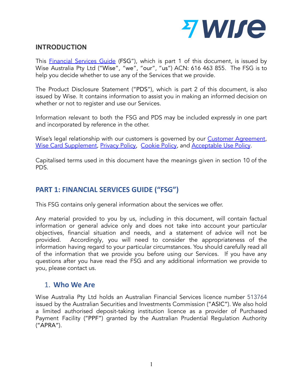

# **INTRODUCTION**

This **[Financial](https://wise.com/australia/fsg_pds) Services Guide** (FSG"), which is part 1 of this document, is issued by Wise Australia Pty Ltd ("Wise", "we", "our", "us") ACN: 616 463 855. The FSG is to help you decide whether to use any of the Services that we provide.

The Product Disclosure Statement ("PDS"), which is part 2 of this document, is also issued by Wise. It contains information to assist you in making an informed decision on whether or not to register and use our Services.

Information relevant to both the FSG and PDS may be included expressly in one part and incorporated by reference in the other.

Wise's legal relationship with our customers is governed by our Customer [Agreement](https://wise.com/au/terms-of-use), Wise Card [Supplement,](https://wise.com/au/card-supplement-agreement) [Privacy](https://wise.com/au/legal/privacy-policy) Policy, [Cookie](https://wise.com/au/legal/cookie-policy) Policy, and [Acceptable](https://wise.com/acceptable-use-policy) Use Policy.

Capitalised terms used in this document have the meanings given in section 10 of the PDS.

# <span id="page-2-0"></span>**PART 1: FINANCIAL SERVICES GUIDE ("FSG")**

This FSG contains only general information about the services we offer.

Any material provided to you by us, including in this document, will contain factual information or general advice only and does not take into account your particular objectives, financial situation and needs, and a statement of advice will not be provided. Accordingly, you will need to consider the appropriateness of the information having regard to your particular circumstances. You should carefully read all of the information that we provide you before using our Services. If you have any questions after you have read the FSG and any additional information we provide to you, please contact us.

# <span id="page-2-1"></span>1. **Who We Are**

Wise Australia Pty Ltd holds an Australian Financial Services licence number 513764 issued by the Australian Securities and Investments Commission ("ASIC"). We also hold a limited authorised deposit-taking institution licence as a provider of Purchased Payment Facility ("PPF") granted by the Australian Prudential Regulation Authority ("APRA").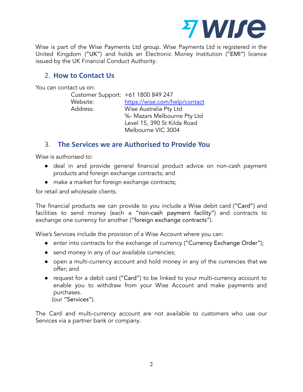

Wise is part of the Wise Payments Ltd group. Wise Payments Ltd is registered in the United Kingdom ("UK") and holds an Electronic Money Institution ("EMI") licence issued by the UK Financial Conduct Authority.

# <span id="page-3-0"></span>2. **How to Contact Us**

You can contact us on:

| Customer Support: +61 1800 849 247 |                               |  |
|------------------------------------|-------------------------------|--|
| Website:                           | https://wise.com/help/contact |  |
| Address:                           | Wise Australia Pty Ltd        |  |
|                                    | %- Mazars Melbourne Pty Ltd   |  |
|                                    | Level 15, 390 St Kilda Road   |  |
|                                    | Melbourne VIC 3004            |  |

# <span id="page-3-1"></span>3. **The Services we are Authorised to Provide You**

Wise is authorised to:

- deal in and provide general financial product advice on non-cash payment products and foreign exchange contracts; and
- make a market for foreign exchange contracts;

for retail and wholesale clients.

The financial products we can provide to you include a Wise debit card ("Card") and facilities to send money (each a "non-cash payment facility") and contracts to exchange one currency for another ("foreign exchange contracts").

Wise's Services include the provision of a Wise Account where you can:

- enter into contracts for the exchange of currency ("Currency Exchange Order");
- send money in any of our available currencies;
- open a multi-currency account and hold money in any of the currencies that we offer; and
- request for a debit card ("Card") to be linked to your multi-currency account to enable you to withdraw from your Wise Account and make payments and purchases.

(our "Services").

The Card and multi-currency account are not available to customers who use our Services via a partner bank or company.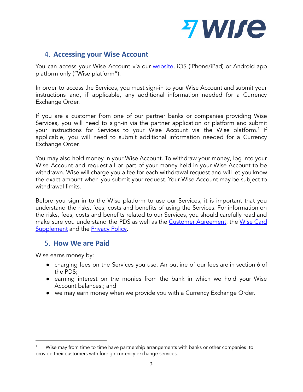

# <span id="page-4-0"></span>4. **Accessing your Wise Account**

You can access your Wise Account via our **[website](https://wise.com/au)**, iOS (iPhone/iPad) or Android app platform only ("Wise platform").

In order to access the Services, you must sign-in to your Wise Account and submit your instructions and, if applicable, any additional information needed for a Currency Exchange Order.

If you are a customer from one of our partner banks or companies providing Wise Services, you will need to sign-in via the partner application or platform and submit your instructions for Services to your Wise Account via the Wise platform. $^{\rm 1}$  If applicable, you will need to submit additional information needed for a Currency Exchange Order.

You may also hold money in your Wise Account. To withdraw your money, log into your Wise Account and request all or part of your money held in your Wise Account to be withdrawn. Wise will charge you a fee for each withdrawal request and will let you know the exact amount when you submit your request. Your Wise Account may be subject to withdrawal limits.

Before you sign in to the Wise platform to use our Services, it is important that you understand the risks, fees, costs and benefits of using the Services. For information on the risks, fees, costs and benefits related to our Services, you should carefully read and make sure you understand the PDS as well as the Customer [Agreement](https://wise.com/au/terms-of-use), the [Wise](https://wise.com/au/card-supplement-agreement) Card [Supplement](https://wise.com/au/card-supplement-agreement) and the **[Privacy](https://wise.com/au/legal/privacy-policy) Policy**.

# <span id="page-4-1"></span>5. **How We are Paid**

Wise earns money by:

- charging fees on the Services you use. An outline of our fees are in section 6 of the PDS;
- earning interest on the monies from the bank in which we hold your Wise Account balances.; and
- we may earn money when we provide you with a Currency Exchange Order.

Wise may from time to time have partnership arrangements with banks or other companies to provide their customers with foreign currency exchange services.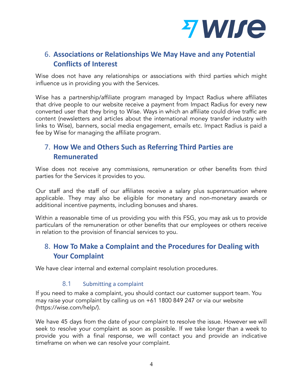

# <span id="page-5-0"></span>6. **Associations or Relationships We May Have and any Potential Conflicts of Interest**

Wise does not have any relationships or associations with third parties which might influence us in providing you with the Services.

Wise has a partnership/affiliate program managed by Impact Radius where affiliates that drive people to our website receive a payment from Impact Radius for every new converted user that they bring to Wise. Ways in which an affiliate could drive traffic are content (newsletters and articles about the international money transfer industry with links to Wise), banners, social media engagement, emails etc. Impact Radius is paid a fee by Wise for managing the affiliate program.

# <span id="page-5-1"></span>7. **How We and Others Such as Referring Third Parties are Remunerated**

Wise does not receive any commissions, remuneration or other benefits from third parties for the Services it provides to you.

Our staff and the staff of our affiliates receive a salary plus superannuation where applicable. They may also be eligible for monetary and non-monetary awards or additional incentive payments, including bonuses and shares.

Within a reasonable time of us providing you with this FSG, you may ask us to provide particulars of the remuneration or other benefits that our employees or others receive in relation to the provision of financial services to you.

# <span id="page-5-2"></span>8. **How To Make a Complaint and the Procedures for Dealing with Your Complaint**

We have clear internal and external complaint resolution procedures.

## 8.1 Submitting a complaint

If you need to make a complaint, you should contact our customer support team. You may raise your complaint by calling us on +61 1800 849 247 or via our website (https://wise.com/help/).

We have 45 days from the date of your complaint to resolve the issue. However we will seek to resolve your complaint as soon as possible. If we take longer than a week to provide you with a final response, we will contact you and provide an indicative timeframe on when we can resolve your complaint.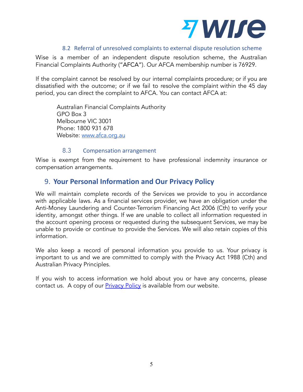

#### 8.2 Referral of unresolved complaints to external dispute resolution scheme

Wise is a member of an independent dispute resolution scheme, the Australian Financial Complaints Authority ("AFCA"). Our AFCA membership number is 76929.

If the complaint cannot be resolved by our internal complaints procedure; or if you are dissatisfied with the outcome; or if we fail to resolve the complaint within the 45 day period, you can direct the complaint to AFCA. You can contact AFCA at:

Australian Financial Complaints Authority GPO Box 3 Melbourne VIC 3001 Phone: 1800 931 678 Website: [www.afca.org.au](http://www.afca.org.au)

#### 8.3 Compensation arrangement

Wise is exempt from the requirement to have professional indemnity insurance or compensation arrangements.

# <span id="page-6-0"></span>9. **Your Personal Information and Our Privacy Policy**

We will maintain complete records of the Services we provide to you in accordance with applicable laws. As a financial services provider, we have an obligation under the Anti-Money Laundering and Counter-Terrorism Financing Act 2006 (Cth) to verify your identity, amongst other things. If we are unable to collect all information requested in the account opening process or requested during the subsequent Services, we may be unable to provide or continue to provide the Services. We will also retain copies of this information.

We also keep a record of personal information you provide to us. Your privacy is important to us and we are committed to comply with the Privacy Act 1988 (Cth) and Australian Privacy Principles.

If you wish to access information we hold about you or have any concerns, please contact us. A copy of our **[Privacy](https://wise.com/au/legal/privacy-policy) Policy** is available from our website.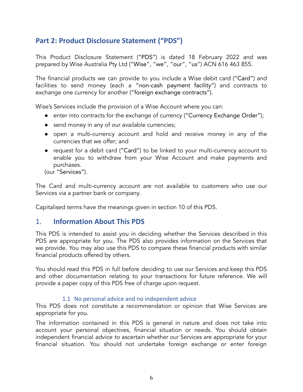# <span id="page-7-0"></span>**Part 2: Product Disclosure Statement ("PDS")**

This Product Disclosure Statement ("PDS") is dated 18 February 2022 and was prepared by Wise Australia Pty Ltd ("Wise", "we", "our", "us") ACN 616 463 855.

The financial products we can provide to you include a Wise debit card ("Card") and facilities to send money (each a "non-cash payment facility") and contracts to exchange one currency for another ("foreign exchange contracts").

Wise's Services include the provision of a Wise Account where you can:

- enter into contracts for the exchange of currency ("Currency Exchange Order");
- send money in any of our available currencies;
- open a multi-currency account and hold and receive money in any of the currencies that we offer; and
- request for a debit card ("Card") to be linked to your multi-currency account to enable you to withdraw from your Wise Account and make payments and purchases.

(our "Services").

The Card and multi-currency account are not available to customers who use our Services via a partner bank or company.

<span id="page-7-1"></span>Capitalised terms have the meanings given in section 10 of this PDS.

## 1. **Information About This PDS**

This PDS is intended to assist you in deciding whether the Services described in this PDS are appropriate for you. The PDS also provides information on the Services that we provide. You may also use this PDS to compare these financial products with similar financial products offered by others.

You should read this PDS in full before deciding to use our Services and keep this PDS and other documentation relating to your transactions for future reference. We will provide a paper copy of this PDS free of charge upon request.

#### 1.1 No personal advice and no independent advice

This PDS does not constitute a recommendation or opinion that Wise Services are appropriate for you.

The information contained in this PDS is general in nature and does not take into account your personal objectives, financial situation or needs. You should obtain independent financial advice to ascertain whether our Services are appropriate for your financial situation. You should not undertake foreign exchange or enter foreign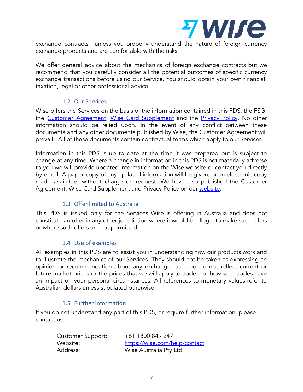

exchange contracts unless you properly understand the nature of foreign currency exchange products and are comfortable with the risks.

We offer general advice about the mechanics of foreign exchange contracts but we recommend that you carefully consider all the potential outcomes of specific currency exchange transactions before using our Service. You should obtain your own financial, taxation, legal or other professional advice.

## 1.2 Our Services

Wise offers the Services on the basis of the information contained in this PDS, the FSG, the Customer [Agreement](https://wise.com/au/terms-of-use), Wise Card [Supplement](https://wise.com/au/card-supplement-agreement) and the [Privacy](https://wise.com/au/legal/privacy-policy) Policy. No other information should be relied upon. In the event of any conflict between these documents and any other documents published by Wise, the Customer Agreement will prevail. All of these documents contain contractual terms which apply to our Services.

Information in this PDS is up to date at the time it was prepared but is subject to change at any time. Where a change in information in this PDS is not materially adverse to you we will provide updated information on the Wise website or contact you directly by email. A paper copy of any updated information will be given, or an electronic copy made available, without charge on request. We have also published the Customer Agreement, Wise Card Supplement and Privacy Policy on our [website.](https://wise.com/au)

## 1.3 Offer limited to Australia

This PDS is issued only for the Services Wise is offering in Australia and does not constitute an offer in any other jurisdiction where it would be illegal to make such offers or where such offers are not permitted.

## 1.4 Use of examples

All examples in this PDS are to assist you in understanding how our products work and to illustrate the mechanics of our Services. They should not be taken as expressing an opinion or recommendation about any exchange rate and do not reflect current or future market prices or the prices that we will apply to trade; nor how such trades have an impact on your personal circumstances. All references to monetary values refer to Australian dollars unless stipulated otherwise.

## 1.5 Further information

If you do not understand any part of this PDS, or require further information, please contact us:

| <b>Customer Support:</b> | +61 1800 849 247              |
|--------------------------|-------------------------------|
| Website:                 | https://wise.com/help/contact |
| Address:                 | Wise Australia Pty Ltd        |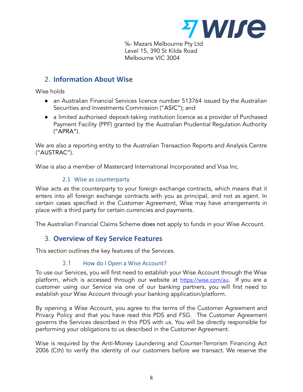

℅- Mazars Melbourne Pty Ltd Level 15, 390 St Kilda Road Melbourne VIC 3004

# <span id="page-9-0"></span>2. **Information About Wise**

Wise holds

- an Australian Financial Services licence number 513764 issued by the Australian Securities and Investments Commission ("ASIC"); and
- a limited authorised deposit-taking institution licence as a provider of Purchased Payment Facility (PPF) granted by the Australian Prudential Regulation Authority ("APRA").

We are also a reporting entity to the Australian Transaction Reports and Analysis Centre ("AUSTRAC").

Wise is also a member of Mastercard International Incorporated and Visa Inc.

## 2.1 Wise as counterparty

Wise acts as the counterparty to your foreign exchange contracts, which means that it enters into all foreign exchange contracts with you as principal, and not as agent. In certain cases specified in the Customer Agreement, Wise may have arrangements in place with a third party for certain currencies and payments.

<span id="page-9-1"></span>The Australian Financial Claims Scheme does not apply to funds in your Wise Account.

# 3. **Overview of Key Service Features**

This section outlines the key features of the Services.

## 3.1 How do I Open a Wise Account?

To use our Services, you will first need to establish your Wise Account through the Wise platform, which is accessed through our website at [https://wise.com/au](https://transferwise.com/au). If you are a customer using our Service via one of our banking partners, you will first need to establish your Wise Account through your banking application/platform.

By opening a Wise Account, you agree to the terms of the Customer Agreement and Privacy Policy and that you have read this PDS and FSG. The Customer Agreement governs the Services described in this PDS with us. You will be directly responsible for performing your obligations to us described in the Customer Agreement.

Wise is required by the Anti-Money Laundering and Counter-Terrorism Financing Act 2006 (Cth) to verify the identity of our customers before we transact. We reserve the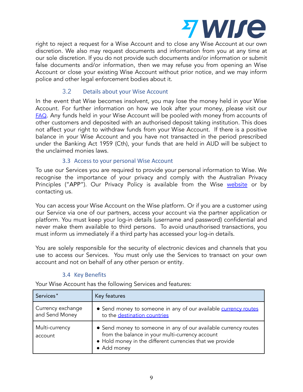

right to reject a request for a Wise Account and to close any Wise Account at our own discretion. We also may request documents and information from you at any time at our sole discretion. If you do not provide such documents and/or information or submit false documents and/or information, then we may refuse you from opening an Wise Account or close your existing Wise Account without prior notice, and we may inform police and other legal enforcement bodies about it.

### 3.2 Details about your Wise Account

In the event that Wise becomes insolvent, you may lose the money held in your Wise Account. For further information on how we look after your money, please visit our [FAQ](https://wise.com/help/). Any funds held in your Wise Account will be pooled with money from accounts of other customers and deposited with an authorised deposit taking institution. This does not affect your right to withdraw funds from your Wise Account. If there is a positive balance in your Wise Account and you have not transacted in the period prescribed under the Banking Act 1959 (Cth), your funds that are held in AUD will be subject to the unclaimed monies laws.

#### 3.3 Access to your personal Wise Account

To use our Services you are required to provide your personal information to Wise. We recognise the importance of your privacy and comply with the Australian Privacy Principles ("APP"). Our Privacy Policy is available from the Wise [website](https://wise.com/au/legal/privacy-policy) or by contacting us.

You can access your Wise Account on the Wise platform. Or if you are a customer using our Service via one of our partners, access your account via the partner application or platform. You must keep your log-in details (username and password) confidential and never make them available to third persons. To avoid unauthorised transactions, you must inform us immediately if a third party has accessed your log-in details.

You are solely responsible for the security of electronic devices and channels that you use to access our Services. You must only use the Services to transact on your own account and not on behalf of any other person or entity.

## 3.4 Key Benefits

Your Wise Account has the following Services and features:

| Services <sup>*</sup>               | Key features                                                                                                                                                                                  |
|-------------------------------------|-----------------------------------------------------------------------------------------------------------------------------------------------------------------------------------------------|
| Currency exchange<br>and Send Money | • Send money to someone in any of our available currency routes<br>to the destination countries                                                                                               |
| Multi-currency<br>account           | • Send money to someone in any of our available currency routes<br>from the balance in your multi-currency account<br>• Hold money in the different currencies that we provide<br>• Add money |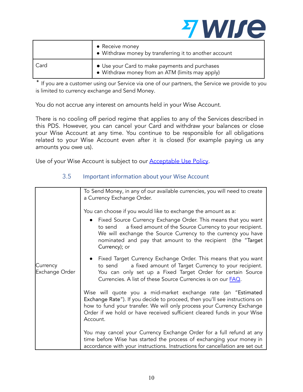

|      | • Receive money<br>• Withdraw money by transferring it to another account                         |
|------|---------------------------------------------------------------------------------------------------|
| Card | • Use your Card to make payments and purchases<br>• Withdraw money from an ATM (limits may apply) |

✶ If you are a customer using our Service via one of our partners, the Service we provide to you is limited to currency exchange and Send Money.

You do not accrue any interest on amounts held in your Wise Account.

There is no cooling off period regime that applies to any of the Services described in this PDS. However, you can cancel your Card and withdraw your balances or close your Wise Account at any time. You continue to be responsible for all obligations related to your Wise Account even after it is closed (for example paying us any amounts you owe us).

Use of your Wise Account is subject to our [Acceptable](https://wise.com/acceptable-use-policy) Use Policy.

|                            | To Send Money, in any of our available currencies, you will need to create<br>a Currency Exchange Order.                                                                                                                                                                                                     |
|----------------------------|--------------------------------------------------------------------------------------------------------------------------------------------------------------------------------------------------------------------------------------------------------------------------------------------------------------|
|                            | You can choose if you would like to exchange the amount as a:                                                                                                                                                                                                                                                |
|                            | • Fixed Source Currency Exchange Order. This means that you want<br>a fixed amount of the Source Currency to your recipient.<br>to send<br>We will exchange the Source Currency to the currency you have<br>nominated and pay that amount to the recipient (the "Target<br>Currency); or                     |
| Currency<br>Exchange Order | • Fixed Target Currency Exchange Order. This means that you want<br>a fixed amount of Target Currency to your recipient.<br>to send<br>You can only set up a Fixed Target Order for certain Source<br>Currencies. A list of these Source Currencies is on our <b>FAQ</b> .                                   |
|                            | Wise will quote you a mid-market exchange rate (an "Estimated<br>Exchange Rate"). If you decide to proceed, then you'll see instructions on<br>how to fund your transfer. We will only process your Currency Exchange<br>Order if we hold or have received sufficient cleared funds in your Wise<br>Account. |
|                            | You may cancel your Currency Exchange Order for a full refund at any<br>time before Wise has started the process of exchanging your money in<br>accordance with your instructions. Instructions for cancellation are set out                                                                                 |

## 3.5 Important information about your Wise Account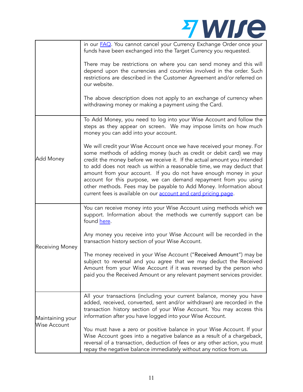|                  | z wire                                                                                                                                                                                                                                                                                                                                                                                                                                                                                                                                                                              |
|------------------|-------------------------------------------------------------------------------------------------------------------------------------------------------------------------------------------------------------------------------------------------------------------------------------------------------------------------------------------------------------------------------------------------------------------------------------------------------------------------------------------------------------------------------------------------------------------------------------|
|                  | in our FAQ. You cannot cancel your Currency Exchange Order once your<br>funds have been exchanged into the Target Currency you requested.                                                                                                                                                                                                                                                                                                                                                                                                                                           |
|                  | There may be restrictions on where you can send money and this will<br>depend upon the currencies and countries involved in the order. Such<br>restrictions are described in the Customer Agreement and/or referred on<br>our website.                                                                                                                                                                                                                                                                                                                                              |
|                  | The above description does not apply to an exchange of currency when<br>withdrawing money or making a payment using the Card.                                                                                                                                                                                                                                                                                                                                                                                                                                                       |
|                  | To Add Money, you need to log into your Wise Account and follow the<br>steps as they appear on screen. We may impose limits on how much<br>money you can add into your account.                                                                                                                                                                                                                                                                                                                                                                                                     |
| Add Money        | We will credit your Wise Account once we have received your money. For<br>some methods of adding money (such as credit or debit card) we may<br>credit the money before we receive it. If the actual amount you intended<br>to add does not reach us within a reasonable time, we may deduct that<br>amount from your account. If you do not have enough money in your<br>account for this purpose, we can demand repayment from you using<br>other methods. Fees may be payable to Add Money. Information about<br>current fees is available on our account and card pricing page. |
|                  | You can receive money into your Wise Account using methods which we<br>support. Information about the methods we currently support can be<br>found here.                                                                                                                                                                                                                                                                                                                                                                                                                            |
| Receiving Money  | Any money you receive into your Wise Account will be recorded in the<br>transaction history section of your Wise Account.                                                                                                                                                                                                                                                                                                                                                                                                                                                           |
|                  | The money received in your Wise Account ("Received Amount") may be<br>subject to reversal and you agree that we may deduct the Received<br>Amount from your Wise Account if it was reversed by the person who<br>paid you the Received Amount or any relevant payment services provider.                                                                                                                                                                                                                                                                                            |
| Maintaining your | All your transactions (including your current balance, money you have<br>added, received, converted, sent and/or withdrawn) are recorded in the<br>transaction history section of your Wise Account. You may access this<br>information after you have logged into your Wise Account.                                                                                                                                                                                                                                                                                               |
| Wise Account     | You must have a zero or positive balance in your Wise Account. If your<br>Wise Account goes into a negative balance as a result of a chargeback,<br>reversal of a transaction, deduction of fees or any other action, you must<br>repay the negative balance immediately without any notice from us.                                                                                                                                                                                                                                                                                |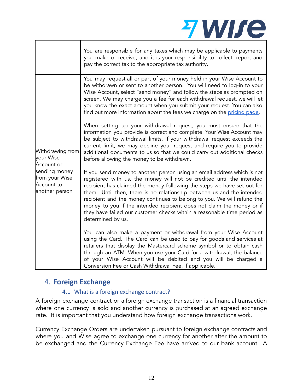|                                                                 | You are responsible for any taxes which may be applicable to payments<br>you make or receive, and it is your responsibility to collect, report and<br>pay the correct tax to the appropriate tax authority.                                                                                                                                                                                                                                                                                                                                              |
|-----------------------------------------------------------------|----------------------------------------------------------------------------------------------------------------------------------------------------------------------------------------------------------------------------------------------------------------------------------------------------------------------------------------------------------------------------------------------------------------------------------------------------------------------------------------------------------------------------------------------------------|
|                                                                 | You may request all or part of your money held in your Wise Account to<br>be withdrawn or sent to another person. You will need to log-in to your<br>Wise Account, select "send money" and follow the steps as prompted on<br>screen. We may charge you a fee for each withdrawal request, we will let<br>you know the exact amount when you submit your request. You can also<br>find out more information about the fees we charge on the pricing page.                                                                                                |
| Withdrawing from<br>your Wise<br>Account or                     | When setting up your withdrawal request, you must ensure that the<br>information you provide is correct and complete. Your Wise Account may<br>be subject to withdrawal limits. If your withdrawal request exceeds the<br>current limit, we may decline your request and require you to provide<br>additional documents to us so that we could carry out additional checks<br>before allowing the money to be withdrawn.                                                                                                                                 |
| sending money<br>from your Wise<br>Account to<br>another person | If you send money to another person using an email address which is not<br>registered with us, the money will not be credited until the intended<br>recipient has claimed the money following the steps we have set out for<br>them. Until then, there is no relationship between us and the intended<br>recipient and the money continues to belong to you. We will refund the<br>money to you if the intended recipient does not claim the money or if<br>they have failed our customer checks within a reasonable time period as<br>determined by us. |
|                                                                 | You can also make a payment or withdrawal from your Wise Account<br>using the Card. The Card can be used to pay for goods and services at<br>retailers that display the Mastercard scheme symbol or to obtain cash<br>through an ATM. When you use your Card for a withdrawal, the balance<br>of your Wise Account will be debited and you will be charged a<br>Conversion Fee or Cash Withdrawal Fee, if applicable.                                                                                                                                    |

Z WII 10

# <span id="page-13-0"></span>4. **Foreign Exchange**

## 4.1 What is a foreign exchange contract?

A foreign exchange contract or a foreign exchange transaction is a financial transaction where one currency is sold and another currency is purchased at an agreed exchange rate. It is important that you understand how foreign exchange transactions work.

Currency Exchange Orders are undertaken pursuant to foreign exchange contracts and where you and Wise agree to exchange one currency for another after the amount to be exchanged and the Currency Exchange Fee have arrived to our bank account. A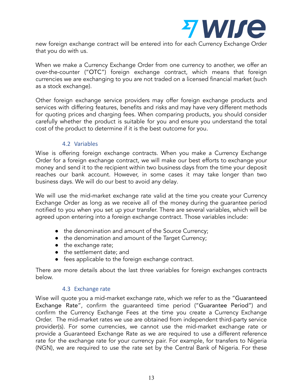

new foreign exchange contract will be entered into for each Currency Exchange Order that you do with us.

When we make a Currency Exchange Order from one currency to another, we offer an over-the-counter ("OTC") foreign exchange contract, which means that foreign currencies we are exchanging to you are not traded on a licensed financial market (such as a stock exchange).

Other foreign exchange service providers may offer foreign exchange products and services with differing features, benefits and risks and may have very different methods for quoting prices and charging fees. When comparing products, you should consider carefully whether the product is suitable for you and ensure you understand the total cost of the product to determine if it is the best outcome for you.

#### 4.2 Variables

Wise is offering foreign exchange contracts. When you make a Currency Exchange Order for a foreign exchange contract, we will make our best efforts to exchange your money and send it to the recipient within two business days from the time your deposit reaches our bank account. However, in some cases it may take longer than two business days. We will do our best to avoid any delay.

We will use the mid-market exchange rate valid at the time you create your Currency Exchange Order as long as we receive all of the money during the guarantee period notified to you when you set up your transfer. There are several variables, which will be agreed upon entering into a foreign exchange contract. Those variables include:

- the denomination and amount of the Source Currency;
- the denomination and amount of the Target Currency;
- the exchange rate;
- the settlement date; and
- fees applicable to the foreign exchange contract.

There are more details about the last three variables for foreign exchanges contracts below.

#### 4.3 Exchange rate

Wise will quote you a mid-market exchange rate, which we refer to as the "Guaranteed Exchange Rate", confirm the guaranteed time period ("Guarantee Period") and confirm the Currency Exchange Fees at the time you create a Currency Exchange Order. The mid-market rates we use are obtained from independent third-party service provider(s). For some currencies, we cannot use the mid-market exchange rate or provide a Guaranteed Exchange Rate as we are required to use a different reference rate for the exchange rate for your currency pair. For example, for transfers to Nigeria (NGN), we are required to use the rate set by the Central Bank of Nigeria. For these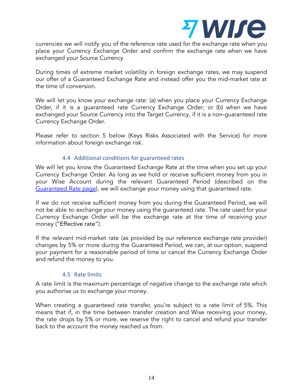

currencies we will notify you of the reference rate used for the exchange rate when you place your Currency Exchange Order and confirm the exchange rate when we have exchanged your Source Currency.

During times of extreme market volatility in foreign exchange rates, we may suspend our offer of a Guaranteed Exchange Rate and instead offer you the mid-market rate at the time of conversion.

We will let you know your exchange rate: (a) when you place your Currency Exchange Order, if it is a guaranteed rate Currency Exchange Order; or (b) when we have exchanged your Source Currency into the Target Currency, if it is a non-guaranteed rate Currency Exchange Order.

Please refer to section 5 below (Keys Risks Associated with the Service) for more information about foreign exchange risk.

#### 4.4 Additional conditions for guaranteed rates

We will let you know the Guaranteed Exchange Rate at the time when you set up your Currency Exchange Order. As long as we hold or receive sufficient money from you in your Wise Account during the relevant Guaranteed Period (described on the [Guaranteed](https://wise.com/help/articles/2448203?origin=search-guaranteed+rate) Rate page), we will exchange your money using that guaranteed rate.

If we do not receive sufficient money from you during the Guaranteed Period, we will not be able to exchange your money using the guaranteed rate. The rate used for your Currency Exchange Order will be the exchange rate at the time of receiving your money ("Effective rate").

If the relevant mid-market rate (as provided by our reference exchange rate provider) changes by 5% or more during the Guaranteed Period, we can, at our option, suspend your payment for a reasonable period of time or cancel the Currency Exchange Order and refund the money to you.

## 4.5 Rate limits

A rate limit is the maximum percentage of negative change to the exchange rate which you authorise us to exchange your money.

When creating a guaranteed rate transfer, you're subject to a rate limit of 5%. This means that if, in the time between transfer creation and Wise receiving your money, the rate drops by 5% or more, we reserve the right to cancel and refund your transfer back to the account the money reached us from.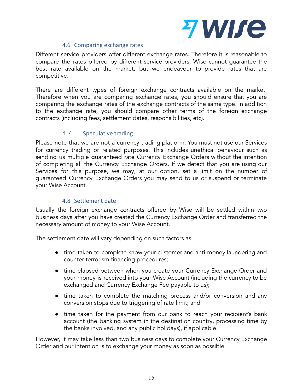

## 4.6 Comparing exchange rates

Different service providers offer different exchange rates. Therefore it is reasonable to compare the rates offered by different service providers. Wise cannot guarantee the best rate available on the market, but we endeavour to provide rates that are competitive.

There are different types of foreign exchange contracts available on the market. Therefore when you are comparing exchange rates, you should ensure that you are comparing the exchange rates of the exchange contracts of the same type. In addition to the exchange rate, you should compare other terms of the foreign exchange contracts (including fees, settlement dates, responsibilities, etc).

## 4.7 Speculative trading

Please note that we are not a currency trading platform. You must not use our Services for currency trading or related purposes. This includes unethical behaviour such as sending us multiple guaranteed rate Currency Exchange Orders without the intention of completing all the Currency Exchange Orders. If we detect that you are using our Services for this purpose, we may, at our option, set a limit on the number of guaranteed Currency Exchange Orders you may send to us or suspend or terminate your Wise Account.

#### 4.8 Settlement date

Usually the foreign exchange contracts offered by Wise will be settled within two business days after you have created the Currency Exchange Order and transferred the necessary amount of money to your Wise Account.

The settlement date will vary depending on such factors as:

- time taken to complete know-your-customer and anti-money laundering and counter-terrorism financing procedures;
- time elapsed between when you create your Currency Exchange Order and your money is received into your Wise Account (including the currency to be exchanged and Currency Exchange Fee payable to us);
- time taken to complete the matching process and/or conversion and any conversion stops due to triggering of rate limit; and
- time taken for the payment from our bank to reach your recipient's bank account (the banking system in the destination country, processing time by the banks involved, and any public holidays), if applicable.

However, it may take less than two business days to complete your Currency Exchange Order and our intention is to exchange your money as soon as possible.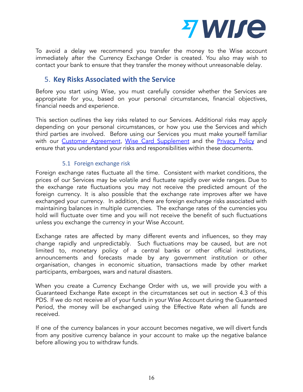

To avoid a delay we recommend you transfer the money to the Wise account immediately after the Currency Exchange Order is created. You also may wish to contact your bank to ensure that they transfer the money without unreasonable delay.

# <span id="page-17-0"></span>5. **Key Risks Associated with the Service**

Before you start using Wise, you must carefully consider whether the Services are appropriate for you, based on your personal circumstances, financial objectives, financial needs and experience.

This section outlines the key risks related to our Services. Additional risks may apply depending on your personal circumstances, or how you use the Services and which third parties are involved. Before using our Services you must make yourself familiar with our Customer [Agreement](https://wise.com/au/terms-of-use), Wise Card [Supplement](https://wise.com/au/card-supplement-agreement) and the [Privacy](https://wise.com/au/legal/privacy-policy) Policy and ensure that you understand your risks and responsibilities within these documents.

## 5.1 Foreign exchange risk

Foreign exchange rates fluctuate all the time. Consistent with market conditions, the prices of our Services may be volatile and fluctuate rapidly over wide ranges. Due to the exchange rate fluctuations you may not receive the predicted amount of the foreign currency. It is also possible that the exchange rate improves after we have exchanged your currency. In addition, there are foreign exchange risks associated with maintaining balances in multiple currencies. The exchange rates of the currencies you hold will fluctuate over time and you will not receive the benefit of such fluctuations unless you exchange the currency in your Wise Account.

Exchange rates are affected by many different events and influences, so they may change rapidly and unpredictably. Such fluctuations may be caused, but are not limited to, monetary policy of a central banks or other official institutions, announcements and forecasts made by any government institution or other organisation, changes in economic situation, transactions made by other market participants, embargoes, wars and natural disasters.

When you create a Currency Exchange Order with us, we will provide you with a Guaranteed Exchange Rate except in the circumstances set out in section 4.3 of this PDS. If we do not receive all of your funds in your Wise Account during the Guaranteed Period, the money will be exchanged using the Effective Rate when all funds are received.

If one of the currency balances in your account becomes negative, we will divert funds from any positive currency balance in your account to make up the negative balance before allowing you to withdraw funds.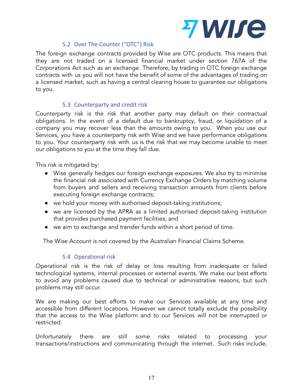

## 5.2 Over The Counter ("OTC") Risk

The foreign exchange contracts provided by Wise are OTC products. This means that they are not traded on a licensed financial market under section 767A of the Corporations Act such as an exchange. Therefore, by trading in OTC foreign exchange contracts with us you will not have the benefit of some of the advantages of trading on a licensed market, such as having a central clearing house to guarantee our obligations to you.

## 5.3 Counterparty and credit risk

Counterparty risk is the risk that another party may default on their contractual obligations. In the event of a default due to bankruptcy, fraud, or liquidation of a company you may recover less than the amounts owing to you. When you use our Services, you have a counterparty risk with Wise and we have performance obligations to you. Your counterparty risk with us is the risk that we may become unable to meet our obligations to you at the time they fall due.

This risk is mitigated by:

- Wise generally hedges our foreign exchange exposures. We also try to minimise the financial risk associated with Currency Exchange Orders by matching volume from buyers and sellers and receiving transaction amounts from clients before executing foreign exchange contracts;
- we hold your money with authorised deposit-taking institutions;
- we are licensed by the APRA as a limited authorised deposit-taking institution that provides purchased payment facilities; and
- we aim to exchange and transfer funds within a short period of time.

The Wise Account is not covered by the Australian Financial Claims Scheme.

## 5.4 Operational risk

Operational risk is the risk of delay or loss resulting from inadequate or failed technological systems, internal processes or external events. We make our best efforts to avoid any problems caused due to technical or administrative reasons, but such problems may still occur.

We are making our best efforts to make our Services available at any time and accessible from different locations. However we cannot totally exclude the possibility that the access to the Wise platform and to our Services will not be interrupted or restricted.

Unfortunately there are still some risks related to processing your transactions/instructions and communicating through the internet. Such risks include,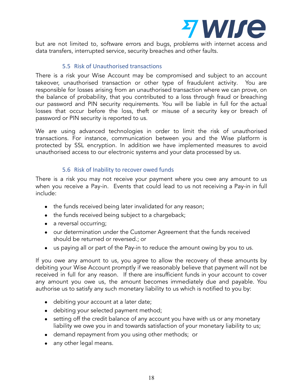

but are not limited to, software errors and bugs, problems with internet access and data transfers, interrupted service, security breaches and other faults.

#### 5.5 Risk of Unauthorised transactions

There is a risk your Wise Account may be compromised and subject to an account takeover, unauthorised transaction or other type of fraudulent activity. You are responsible for losses arising from an unauthorised transaction where we can prove, on the balance of probability, that you contributed to a loss through fraud or breaching our password and PIN security requirements. You will be liable in full for the actual losses that occur before the loss, theft or misuse of a [security](https://www.paypal.com/au/cgi-bin/webscr?cmd=xpt/Marketing_CommandDriven/securitycenter/PayPalSecurityKey-outside) key or breach of password or PIN security is reported to us.

We are using advanced technologies in order to limit the risk of unauthorised transactions. For instance, communication between you and the Wise platform is protected by SSL encryption. In addition we have implemented measures to avoid unauthorised access to our electronic systems and your data processed by us.

#### 5.6 Risk of Inability to recover owed funds

There is a risk you may not receive your payment where you owe any amount to us when you receive a Pay-in. Events that could lead to us not receiving a Pay-in in full include:

- the funds received being later invalidated for any reason;
- the funds received being subject to a chargeback;
- a reversal occurring;
- our determination under the Customer Agreement that the funds received should be returned or reversed.; or
- us paying all or part of the Pay-in to reduce the amount owing by you to us.

If you owe any amount to us, you agree to allow the recovery of these amounts by debiting your Wise Account promptly if we reasonably believe that payment will not be received in full for any reason. If there are insufficient funds in your account to cover any amount you owe us, the amount becomes immediately due and payable. You authorise us to satisfy any such monetary liability to us which is notified to you by:

- debiting your account at a later date;
- debiting your selected payment method;
- setting off the credit balance of any account you have with us or any monetary liability we owe you in and towards satisfaction of your monetary liability to us;
- demand repayment from you using other methods; or
- any other legal means.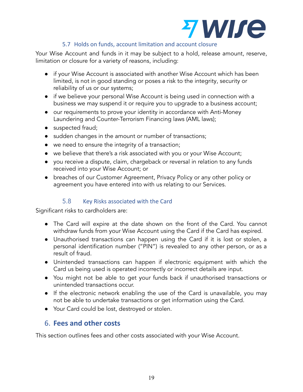

## 5.7 Holds on funds, account limitation and account closure

Your Wise Account and funds in it may be subject to a hold, release amount, reserve, limitation or closure for a variety of reasons, including:

- if your Wise Account is associated with another Wise Account which has been limited, is not in good standing or poses a risk to the integrity, security or reliability of us or our systems;
- if we believe your personal Wise Account is being used in connection with a business we may suspend it or require you to upgrade to a business account;
- our requirements to prove your identity in accordance with Anti-Money Laundering and Counter-Terrorism Financing laws (AML laws);
- suspected fraud;
- sudden changes in the amount or number of transactions;
- we need to ensure the integrity of a transaction;
- we believe that there's a risk associated with you or your Wise Account;
- you receive a dispute, claim, chargeback or reversal in relation to any funds received into your Wise Account; or
- breaches of our Customer [Agreement](https://www.paypal.com/au/webapps/mpp/ua/useragreement-full), Privacy Policy or any other policy or agreement you have entered into with us relating to our Services.

## 5.8 Key Risks associated with the Card

Significant risks to cardholders are:

- The Card will expire at the date shown on the front of the Card. You cannot withdraw funds from your Wise Account using the Card if the Card has expired.
- Unauthorised transactions can happen using the Card if it is lost or stolen, a personal identification number ("PIN") is revealed to any other person, or as a result of fraud.
- Unintended transactions can happen if electronic equipment with which the Card us being used is operated incorrectly or incorrect details are input.
- You might not be able to get your funds back if unauthorised transactions or unintended transactions occur.
- If the electronic network enabling the use of the Card is unavailable, you may not be able to undertake transactions or get information using the Card.
- Your Card could be lost, destroyed or stolen.

# <span id="page-20-0"></span>6. **Fees and other costs**

This section outlines fees and other costs associated with your Wise Account.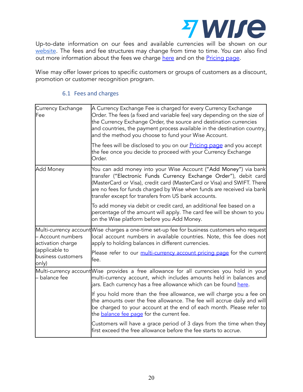

Up-to-date information on our fees and available currencies will be shown on our [website](https://wise.com/au/pricing/send-money?source=AUD&target=EUR&payInMethod=BANK_TRANSFER&sourceAmount=1000). The fees and fee structures may change from time to time. You can also find out more information about the fees we charge [here](https://wise.com/au/multi-currency-account/pricing) and on the [Pricing](https://wise.com/au/pricing/send-money?source=AUD&target=EUR&payInMethod=BANK_TRANSFER&sourceAmount=1000) page.

Wise may offer lower prices to specific customers or groups of customers as a discount, promotion or customer recognition program.

### 6.1 Fees and charges

| Currency Exchange<br><b>Fee</b>               | A Currency Exchange Fee is charged for every Currency Exchange<br>Order. The fees (a fixed and variable fee) vary depending on the size of<br>the Currency Exchange Order, the source and destination currencies<br>and countries, the payment process available in the destination country,<br>and the method you choose to fund your Wise Account. |
|-----------------------------------------------|------------------------------------------------------------------------------------------------------------------------------------------------------------------------------------------------------------------------------------------------------------------------------------------------------------------------------------------------------|
|                                               | The fees will be disclosed to you on our <u>Pricing page</u> and you accept<br>the fee once you decide to proceed with your Currency Exchange<br>Order.                                                                                                                                                                                              |
| Add Money                                     | You can add money into your Wise Account ("Add Money") via bank<br>transfer ("Electronic Funds Currency Exchange Order"), debit card<br>(MasterCard or Visa), credit card (MasterCard or Visa) and SWIFT. There<br>are no fees for funds charged by Wise when funds are received via bank<br>transfer except for transfers from US bank accounts.    |
|                                               | To add money via debit or credit card, an additional fee based on a<br>percentage of the amount will apply. The card fee will be shown to you<br>on the Wise platform before you Add Money.                                                                                                                                                          |
| - Account numbers<br>activation charge        | Multi-currency account Wise charges a one-time set-up fee for business customers who request<br>local account numbers in available countries. Note, this fee does not<br>apply to holding balances in different currencies.                                                                                                                          |
| (applicable to<br>business customers<br>only) | Please refer to our multi-currency account pricing page for the current<br>fee.                                                                                                                                                                                                                                                                      |
| balance fee                                   | Multi-currency account Wise provides a free allowance for all currencies you hold in your<br>multi-currency account, which includes amounts held in balances and<br>jars. Each currency has a free allowance which can be found <u>here</u> .                                                                                                        |
|                                               | If you hold more than the free allowance, we will charge you a fee on<br>the amounts over the free allowance. The fee will accrue daily and will<br>be charged to your account at the end of each month. Please refer to<br>the <b>balance fee page</b> for the current fee.                                                                         |
|                                               | Customers will have a grace period of 3 days from the time when they<br>first exceed the free allowance before the fee starts to accrue.                                                                                                                                                                                                             |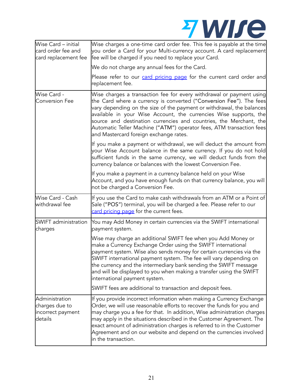

| Wise Card - initial<br>card order fee and<br>card replacement fee | Wise charges a one-time card order fee. This fee is payable at the time<br>you order a Card for your Multi-currency account. A card replacement<br>fee will be charged if you need to replace your Card.                                                                                                                                                                                                                                                                          |  |
|-------------------------------------------------------------------|-----------------------------------------------------------------------------------------------------------------------------------------------------------------------------------------------------------------------------------------------------------------------------------------------------------------------------------------------------------------------------------------------------------------------------------------------------------------------------------|--|
|                                                                   | We do not charge any annual fees for the Card.                                                                                                                                                                                                                                                                                                                                                                                                                                    |  |
|                                                                   | Please refer to our card pricing page for the current card order and<br>replacement fee.                                                                                                                                                                                                                                                                                                                                                                                          |  |
| Wise Card -<br><b>Conversion Fee</b>                              | Wise charges a transaction fee for every withdrawal or payment using<br>the Card where a currency is converted ("Conversion Fee"). The fees<br>vary depending on the size of the payment or withdrawal, the balances<br>available in your Wise Account, the currencies Wise supports, the<br>source and destination currencies and countries, the Merchant, the<br>Automatic Teller Machine ("ATM") operator fees, ATM transaction fees<br>and Mastercard foreign exchange rates. |  |
|                                                                   | If you make a payment or withdrawal, we will deduct the amount from<br>your Wise Account balance in the same currency. If you do not hold<br>sufficient funds in the same currency, we will deduct funds from the<br>currency balance or balances with the lowest Conversion Fee.                                                                                                                                                                                                 |  |
|                                                                   | If you make a payment in a currency balance held on your Wise<br>Account, and you have enough funds on that currency balance, you will<br>not be charged a Conversion Fee.                                                                                                                                                                                                                                                                                                        |  |
| Wise Card - Cash<br>withdrawal fee                                | If you use the Card to make cash withdrawals from an ATM or a Point of<br>Sale ("POS") terminal, you will be charged a fee. Please refer to our<br>card pricing page for the current fees.                                                                                                                                                                                                                                                                                        |  |
| SWIFT administration<br>charges                                   | You may Add Money in certain currencies via the SWIFT international<br>payment system.                                                                                                                                                                                                                                                                                                                                                                                            |  |
|                                                                   | Wise may charge an additional SWIFT fee when you Add Money or<br>make a Currency Exchange Order using the SWIFT international<br>payment system. Wise also sends money for certain currencies via the<br>SWIFT international payment system. The fee will vary depending on<br>the currency and the intermediary bank sending the SWIFT message<br>and will be displayed to you when making a transfer using the SWIFT<br>international payment system.                           |  |
|                                                                   | SWIFT fees are additional to transaction and deposit fees.                                                                                                                                                                                                                                                                                                                                                                                                                        |  |
| Administration<br>charges due to<br>incorrect payment<br>details  | If you provide incorrect information when making a Currency Exchange<br>Order, we will use reasonable efforts to recover the funds for you and<br>may charge you a fee for that. In addition, Wise administration charges<br>may apply in the situations described in the Customer Agreement. The<br>exact amount of administration charges is referred to in the Customer<br>Agreement and on our website and depend on the currencies involved<br>in the transaction.           |  |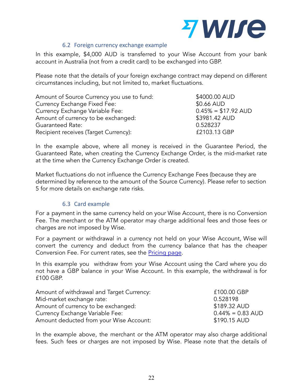

#### 6.2 Foreign currency exchange example

In this example, \$4,000 AUD is transferred to your Wise Account from your bank account in Australia (not from a credit card) to be exchanged into GBP.

Please note that the details of your foreign exchange contract may depend on different circumstances including, but not limited to, market fluctuations.

| Amount of Source Currency you use to fund: | \$4000.00 AUD                 |
|--------------------------------------------|-------------------------------|
| Currency Exchange Fixed Fee:               | \$0.66 AUD                    |
| Currency Exchange Variable Fee:            | $0.45\% = $17.92 \text{ AUD}$ |
| Amount of currency to be exchanged:        | \$3981.42 AUD                 |
| <b>Guaranteed Rate:</b>                    | 0.528237                      |
| Recipient receives (Target Currency):      | £2103.13 GBP                  |

In the example above, where all money is received in the Guarantee Period, the Guaranteed Rate, when creating the Currency Exchange Order, is the mid-market rate at the time when the Currency Exchange Order is created.

Market fluctuations do not influence the Currency Exchange Fees (because they are determined by reference to the amount of the Source Currency). Please refer to section 5 for more details on exchange rate risks.

#### 6.3 Card example

For a payment in the same currency held on your Wise Account, there is no Conversion Fee. The merchant or the ATM operator may charge additional fees and those fees or charges are not imposed by Wise.

For a payment or withdrawal in a currency not held on your Wise Account, Wise will convert the currency and deduct from the currency balance that has the cheaper Conversion Fee. For current rates, see the [Pricing](https://wise.com/au/pricing/send-money?source=AUD&target=EUR&payInMethod=BANK_TRANSFER&sourceAmount=1000) page.

In this example you withdraw from your Wise Account using the Card where you do not have a GBP balance in your Wise Account. In this example, the withdrawal is for £100 GBP.

| Amount of withdrawal and Target Currency: | £100.00 GBP         |
|-------------------------------------------|---------------------|
| Mid-market exchange rate:                 | 0.528198            |
| Amount of currency to be exchanged:       | \$189.32 AUD        |
| Currency Exchange Variable Fee:           | $0.44\% = 0.83$ AUD |
| Amount deducted from your Wise Account:   | \$190.15 AUD        |

In the example above, the merchant or the ATM operator may also charge additional fees. Such fees or charges are not imposed by Wise. Please note that the details of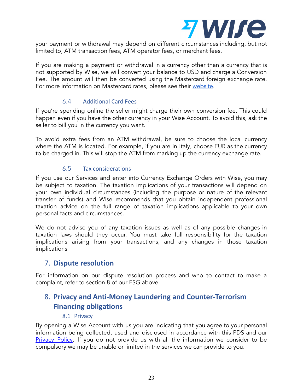

your payment or withdrawal may depend on different circumstances including, but not limited to, ATM transaction fees, ATM operator fees, or merchant fees.

If you are making a payment or withdrawal in a currency other than a currency that is not supported by Wise, we will convert your balance to USD and charge a Conversion Fee. The amount will then be converted using the Mastercard foreign exchange rate. For more information on Mastercard rates, please see their [website.](https://www.mastercard.co.uk/en-gb/consumers/get-support/convert-currency.html)

## 6.4 Additional Card Fees

If you're spending online the seller might charge their own conversion fee. This could happen even if you have the other currency in your Wise Account. To avoid this, ask the seller to bill you in the currency you want.

To avoid extra fees from an ATM withdrawal, be sure to choose the local currency where the ATM is located. For example, if you are in Italy, choose EUR as the currency to be charged in. This will stop the ATM from marking up the currency exchange rate.

#### 6.5 Tax considerations

If you use our Services and enter into Currency Exchange Orders with Wise, you may be subject to taxation. The taxation implications of your transactions will depend on your own individual circumstances (including the purpose or nature of the relevant transfer of funds) and Wise recommends that you obtain independent professional taxation advice on the full range of taxation implications applicable to your own personal facts and circumstances.

We do not advise you of any taxation issues as well as of any possible changes in taxation laws should they occur. You must take full responsibility for the taxation implications arising from your transactions, and any changes in those taxation implications

## <span id="page-24-0"></span>7. **Dispute resolution**

For information on our dispute resolution process and who to contact to make a complaint, refer to section 8 of our FSG above.

# <span id="page-24-1"></span>8. **Privacy and Anti-Money Laundering and Counter-Terrorism Financing obligations**

#### 8.1 Privacy

By opening a Wise Account with us you are indicating that you agree to your personal information being collected, used and disclosed in accordance with this PDS and our [Privacy](https://wise.com/au/legal/privacy-policy) Policy. If you do not provide us with all the information we consider to be compulsory we may be unable or limited in the services we can provide to you.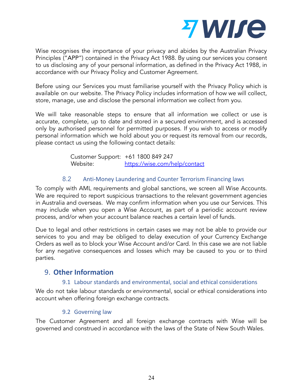

Wise recognises the importance of your privacy and abides by the Australian Privacy Principles ("APP") contained in the Privacy Act 1988. By using our services you consent to us disclosing any of your personal information, as defined in the Privacy Act 1988, in accordance with our Privacy Policy and Customer Agreement.

Before using our Services you must familiarise yourself with the Privacy Policy which is available on our website. The Privacy Policy includes information of how we will collect, store, manage, use and disclose the personal information we collect from you.

We will take reasonable steps to ensure that all information we collect or use is accurate, complete, up to date and stored in a secured environment, and is accessed only by authorised personnel for permitted purposes. If you wish to access or modify personal information which we hold about you or request its removal from our records, please contact us using the following contact details:

> Customer Support: +61 1800 849 247 Website: [https://wise.com/help/contact](https://transferwise.com/help/contact)

## 8.2 Anti-Money Laundering and Counter Terrorism Financing laws

To comply with AML requirements and global sanctions, we screen all Wise Accounts. We are required to report suspicious transactions to the relevant government agencies in Australia and overseas. We may confirm information when you use our Services. This may include when you open a Wise Account, as part of a periodic account review process, and/or when your account balance reaches a certain level of funds.

Due to legal and other restrictions in certain cases we may not be able to provide our services to you and may be obliged to delay execution of your Currency Exchange Orders as well as to block your Wise Account and/or Card. In this case we are not liable for any negative consequences and losses which may be caused to you or to third parties.

# <span id="page-25-0"></span>9. **Other Information**

## 9.1 Labour standards and environmental, social and ethical considerations

We do not take labour standards or environmental, social or ethical considerations into account when offering foreign exchange contracts.

#### 9.2 Governing law

The Customer Agreement and all foreign exchange contracts with Wise will be governed and construed in accordance with the laws of the State of New South Wales.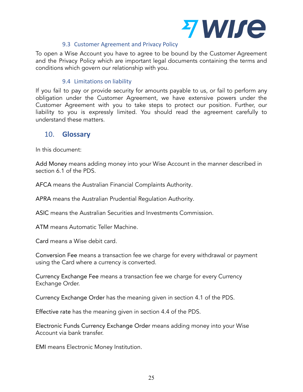

#### 9.3 Customer Agreement and Privacy Policy

To open a Wise Account you have to agree to be bound by the Customer Agreement and the Privacy Policy which are important legal documents containing the terms and conditions which govern our relationship with you.

### 9.4 Limitations on liability

If you fail to pay or provide security for amounts payable to us, or fail to perform any obligation under the Customer Agreement, we have extensive powers under the Customer Agreement with you to take steps to protect our position. Further, our liability to you is expressly limited. You should read the agreement carefully to understand these matters.

## <span id="page-26-0"></span>10. **Glossary**

In this document:

Add Money means adding money into your Wise Account in the manner described in section 6.1 of the PDS.

AFCA means the Australian Financial Complaints Authority.

APRA means the Australian Prudential Regulation Authority.

ASIC means the Australian Securities and Investments Commission.

ATM means Automatic Teller Machine.

Card means a Wise debit card.

Conversion Fee means a transaction fee we charge for every withdrawal or payment using the Card where a currency is converted.

Currency Exchange Fee means a transaction fee we charge for every Currency Exchange Order.

Currency Exchange Order has the meaning given in section 4.1 of the PDS.

Effective rate has the meaning given in section 4.4 of the PDS.

Electronic Funds Currency Exchange Order means adding money into your Wise Account via bank transfer.

EMI means Electronic Money Institution.